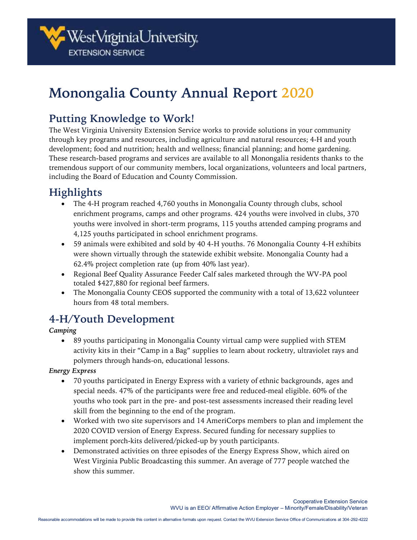

# **Monongalia County Annual Report 2020**

### **Putting Knowledge to Work!**

The West Virginia University Extension Service works to provide solutions in your community through key programs and resources, including agriculture and natural resources; 4-H and youth development; food and nutrition; health and wellness; financial planning; and home gardening. These research-based programs and services are available to all Monongalia residents thanks to the tremendous support of our community members, local organizations, volunteers and local partners, including the Board of Education and County Commission.

## **Highlights**

- The 4-H program reached 4,760 youths in Monongalia County through clubs, school enrichment programs, camps and other programs. 424 youths were involved in clubs, 370 youths were involved in short-term programs, 115 youths attended camping programs and 4,125 youths participated in school enrichment programs.
- 59 animals were exhibited and sold by 40 4-H youths. 76 Monongalia County 4-H exhibits were shown virtually through the statewide exhibit website. Monongalia County had a 62.4% project completion rate (up from 40% last year).
- Regional Beef Quality Assurance Feeder Calf sales marketed through the WV-PA pool totaled \$427,880 for regional beef farmers.
- The Monongalia County CEOS supported the community with a total of 13,622 volunteer hours from 48 total members.

# **4-H/Youth Development**

#### *Camping*

• 89 youths participating in Monongalia County virtual camp were supplied with STEM activity kits in their "Camp in a Bag" supplies to learn about rocketry, ultraviolet rays and polymers through hands-on, educational lessons.

#### *Energy Express*

- 70 youths participated in Energy Express with a variety of ethnic backgrounds, ages and special needs. 47% of the participants were free and reduced-meal eligible. 60% of the youths who took part in the pre- and post-test assessments increased their reading level skill from the beginning to the end of the program.
- Worked with two site supervisors and 14 AmeriCorps members to plan and implement the 2020 COVID version of Energy Express. Secured funding for necessary supplies to implement porch-kits delivered/picked-up by youth participants.
- Demonstrated activities on three episodes of the Energy Express Show, which aired on West Virginia Public Broadcasting this summer. An average of 777 people watched the show this summer.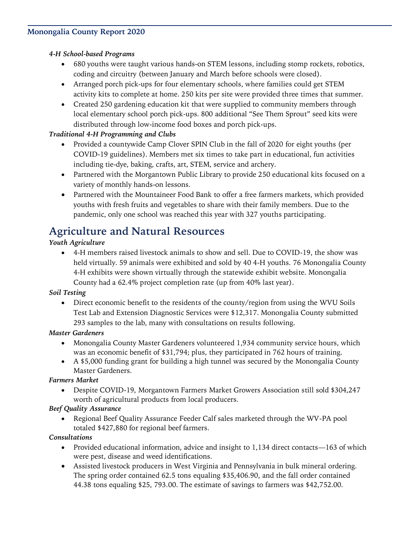#### **Monongalia County Report 2020**

#### *4-H School-based Programs*

- 680 youths were taught various hands-on STEM lessons, including stomp rockets, robotics, coding and circuitry (between January and March before schools were closed).
- Arranged porch pick-ups for four elementary schools, where families could get STEM activity kits to complete at home. 250 kits per site were provided three times that summer.
- Created 250 gardening education kit that were supplied to community members through local elementary school porch pick-ups. 800 additional "See Them Sprout" seed kits were distributed through low-income food boxes and porch pick-ups.

#### *Traditional 4-H Programming and Clubs*

- Provided a countywide Camp Clover SPIN Club in the fall of 2020 for eight youths (per COVID-19 guidelines). Members met six times to take part in educational, fun activities including tie-dye, baking, crafts, art, STEM, service and archery.
- Partnered with the Morgantown Public Library to provide 250 educational kits focused on a variety of monthly hands-on lessons.
- Partnered with the Mountaineer Food Bank to offer a free farmers markets, which provided youths with fresh fruits and vegetables to share with their family members. Due to the pandemic, only one school was reached this year with 327 youths participating.

### **Agriculture and Natural Resources**

#### *Youth Agriculture*

• 4-H members raised livestock animals to show and sell. Due to COVID-19, the show was held virtually. 59 animals were exhibited and sold by 40 4-H youths. 76 Monongalia County 4-H exhibits were shown virtually through the statewide exhibit website. Monongalia County had a 62.4% project completion rate (up from 40% last year).

#### *Soil Testing*

• Direct economic benefit to the residents of the county/region from using the WVU Soils Test Lab and Extension Diagnostic Services were \$12,317. Monongalia County submitted 293 samples to the lab, many with consultations on results following.

#### *Master Gardeners*

- Monongalia County Master Gardeners volunteered 1,934 community service hours, which was an economic benefit of \$31,794; plus, they participated in 762 hours of training.
- A \$5,000 funding grant for building a high tunnel was secured by the Monongalia County Master Gardeners.

#### *Farmers Market*

• Despite COVID-19, Morgantown Farmers Market Growers Association still sold \$304,247 worth of agricultural products from local producers.

#### *Beef Quality Assurance*

• Regional Beef Quality Assurance Feeder Calf sales marketed through the WV-PA pool totaled \$427,880 for regional beef farmers.

#### *Consultations*

- Provided educational information, advice and insight to 1,134 direct contacts—163 of which were pest, disease and weed identifications.
- Assisted livestock producers in West Virginia and Pennsylvania in bulk mineral ordering. The spring order contained 62.5 tons equaling \$35,406.90, and the fall order contained 44.38 tons equaling \$25, 793.00. The estimate of savings to farmers was \$42,752.00.